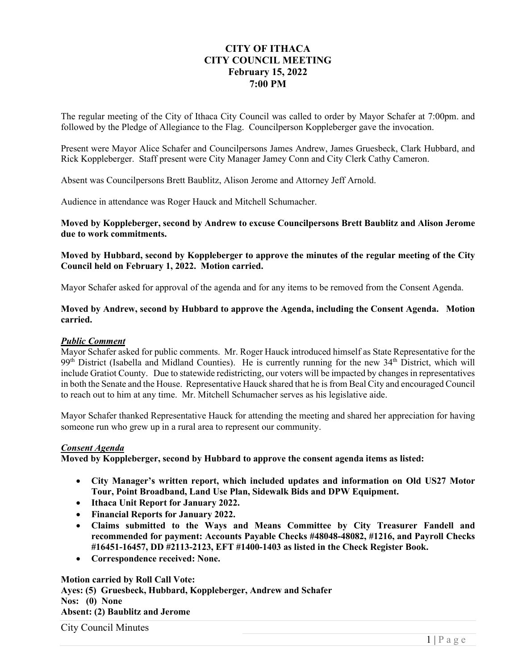# **CITY OF ITHACA CITY COUNCIL MEETING February 15, 2022 7:00 PM**

The regular meeting of the City of Ithaca City Council was called to order by Mayor Schafer at 7:00pm. and followed by the Pledge of Allegiance to the Flag. Councilperson Koppleberger gave the invocation.

Present were Mayor Alice Schafer and Councilpersons James Andrew, James Gruesbeck, Clark Hubbard, and Rick Koppleberger. Staff present were City Manager Jamey Conn and City Clerk Cathy Cameron.

Absent was Councilpersons Brett Baublitz, Alison Jerome and Attorney Jeff Arnold.

Audience in attendance was Roger Hauck and Mitchell Schumacher.

**Moved by Koppleberger, second by Andrew to excuse Councilpersons Brett Baublitz and Alison Jerome due to work commitments.**

**Moved by Hubbard, second by Koppleberger to approve the minutes of the regular meeting of the City Council held on February 1, 2022. Motion carried.** 

Mayor Schafer asked for approval of the agenda and for any items to be removed from the Consent Agenda.

### **Moved by Andrew, second by Hubbard to approve the Agenda, including the Consent Agenda. Motion carried.**

### *Public Comment*

Mayor Schafer asked for public comments. Mr. Roger Hauck introduced himself as State Representative for the 99<sup>th</sup> District (Isabella and Midland Counties). He is currently running for the new 34<sup>th</sup> District, which will include Gratiot County. Due to statewide redistricting, our voters will be impacted by changes in representatives in both the Senate and the House. Representative Hauck shared that he is from Beal City and encouraged Council to reach out to him at any time. Mr. Mitchell Schumacher serves as his legislative aide.

Mayor Schafer thanked Representative Hauck for attending the meeting and shared her appreciation for having someone run who grew up in a rural area to represent our community.

### *Consent Agenda*

**Moved by Koppleberger, second by Hubbard to approve the consent agenda items as listed:** 

- **City Manager's written report, which included updates and information on Old US27 Motor Tour, Point Broadband, Land Use Plan, Sidewalk Bids and DPW Equipment.**
- **Ithaca Unit Report for January 2022.**
- **Financial Reports for January 2022.**
- **Claims submitted to the Ways and Means Committee by City Treasurer Fandell and recommended for payment: Accounts Payable Checks #48048-48082, #1216, and Payroll Checks #16451-16457, DD #2113-2123, EFT #1400-1403 as listed in the Check Register Book.**
- **Correspondence received: None.**

**Motion carried by Roll Call Vote: Ayes: (5) Gruesbeck, Hubbard, Koppleberger, Andrew and Schafer Nos: (0) None Absent: (2) Baublitz and Jerome** 

City Council Minutes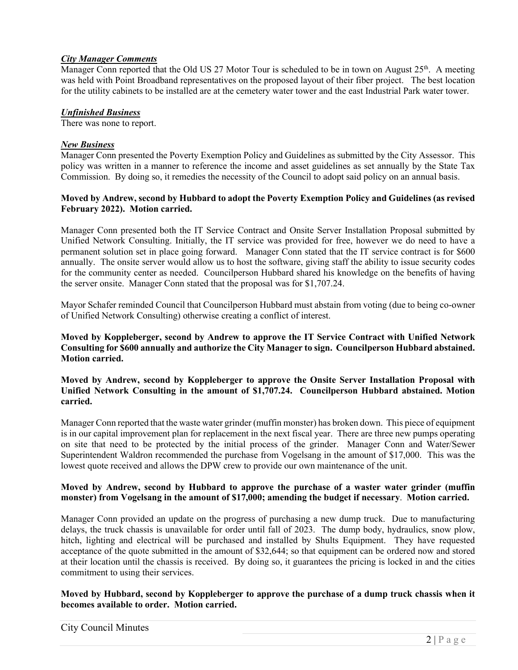### *City Manager Comments*

Manager Conn reported that the Old US 27 Motor Tour is scheduled to be in town on August 25<sup>th</sup>. A meeting was held with Point Broadband representatives on the proposed layout of their fiber project. The best location for the utility cabinets to be installed are at the cemetery water tower and the east Industrial Park water tower.

### *Unfinished Business*

There was none to report.

### *New Business*

Manager Conn presented the Poverty Exemption Policy and Guidelines as submitted by the City Assessor. This policy was written in a manner to reference the income and asset guidelines as set annually by the State Tax Commission. By doing so, it remedies the necessity of the Council to adopt said policy on an annual basis.

# **Moved by Andrew, second by Hubbard to adopt the Poverty Exemption Policy and Guidelines (as revised February 2022). Motion carried.**

Manager Conn presented both the IT Service Contract and Onsite Server Installation Proposal submitted by Unified Network Consulting. Initially, the IT service was provided for free, however we do need to have a permanent solution set in place going forward. Manager Conn stated that the IT service contract is for \$600 annually. The onsite server would allow us to host the software, giving staff the ability to issue security codes for the community center as needed. Councilperson Hubbard shared his knowledge on the benefits of having the server onsite. Manager Conn stated that the proposal was for \$1,707.24.

Mayor Schafer reminded Council that Councilperson Hubbard must abstain from voting (due to being co-owner of Unified Network Consulting) otherwise creating a conflict of interest.

### **Moved by Koppleberger, second by Andrew to approve the IT Service Contract with Unified Network Consulting for \$600 annually and authorize the City Manager to sign. Councilperson Hubbard abstained. Motion carried.**

**Moved by Andrew, second by Koppleberger to approve the Onsite Server Installation Proposal with Unified Network Consulting in the amount of \$1,707.24. Councilperson Hubbard abstained. Motion carried.** 

Manager Conn reported that the waste water grinder (muffin monster) has broken down. This piece of equipment is in our capital improvement plan for replacement in the next fiscal year. There are three new pumps operating on site that need to be protected by the initial process of the grinder. Manager Conn and Water/Sewer Superintendent Waldron recommended the purchase from Vogelsang in the amount of \$17,000. This was the lowest quote received and allows the DPW crew to provide our own maintenance of the unit.

# **Moved by Andrew, second by Hubbard to approve the purchase of a waster water grinder (muffin monster) from Vogelsang in the amount of \$17,000; amending the budget if necessary**. **Motion carried.**

Manager Conn provided an update on the progress of purchasing a new dump truck. Due to manufacturing delays, the truck chassis is unavailable for order until fall of 2023. The dump body, hydraulics, snow plow, hitch, lighting and electrical will be purchased and installed by Shults Equipment. They have requested acceptance of the quote submitted in the amount of \$32,644; so that equipment can be ordered now and stored at their location until the chassis is received. By doing so, it guarantees the pricing is locked in and the cities commitment to using their services.

# **Moved by Hubbard, second by Koppleberger to approve the purchase of a dump truck chassis when it becomes available to order. Motion carried.**

City Council Minutes